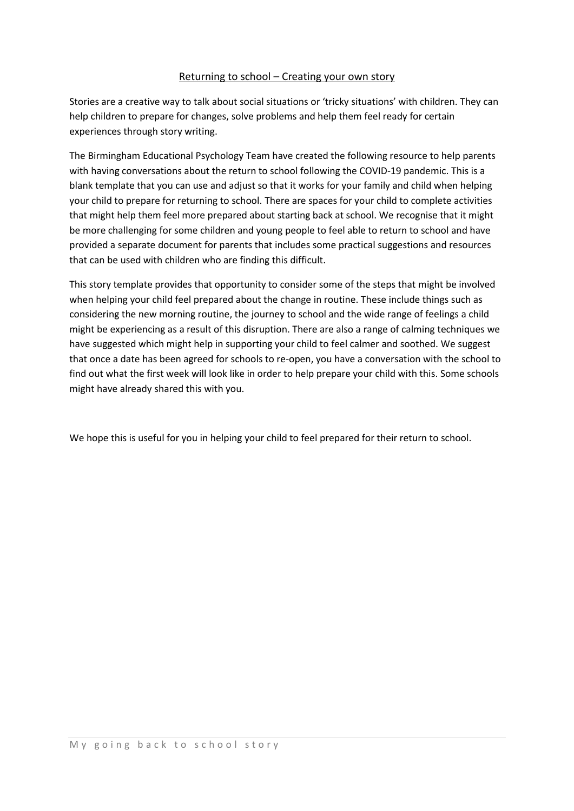#### Returning to school – Creating your own story

Stories are a creative way to talk about social situations or 'tricky situations' with children. They can help children to prepare for changes, solve problems and help them feel ready for certain experiences through story writing.

The Birmingham Educational Psychology Team have created the following resource to help parents with having conversations about the return to school following the COVID-19 pandemic. This is a blank template that you can use and adjust so that it works for your family and child when helping your child to prepare for returning to school. There are spaces for your child to complete activities that might help them feel more prepared about starting back at school. We recognise that it might be more challenging for some children and young people to feel able to return to school and have provided a separate document for parents that includes some practical suggestions and resources that can be used with children who are finding this difficult.

This story template provides that opportunity to consider some of the steps that might be involved when helping your child feel prepared about the change in routine. These include things such as considering the new morning routine, the journey to school and the wide range of feelings a child might be experiencing as a result of this disruption. There are also a range of calming techniques we have suggested which might help in supporting your child to feel calmer and soothed. We suggest that once a date has been agreed for schools to re-open, you have a conversation with the school to find out what the first week will look like in order to help prepare your child with this. Some schools might have already shared this with you.

We hope this is useful for you in helping your child to feel prepared for their return to school.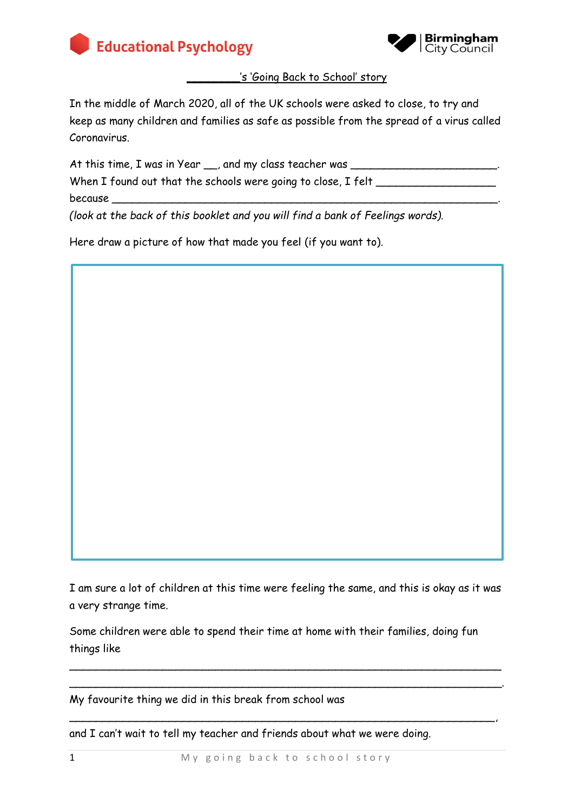



#### \_\_\_\_\_\_\_\_'s 'Going Back to School' story

In the middle of March 2020, all of the UK schools were asked to close, to try and keep as many children and families as safe as possible from the spread of a virus called Coronavirus.

At this time, I was in Year \_\_, and my class teacher was \_\_\_\_\_\_\_\_\_\_\_\_\_\_\_\_\_\_\_\_\_\_\_.

When I found out that the schools were going to close, I felt \_\_\_\_\_\_\_\_\_\_\_\_\_\_\_\_\_\_

because

*(look at the back of this booklet and you will find a bank of Feelings words).*

Here draw a picture of how that made you feel (if you want to).

I am sure a lot of children at this time were feeling the same, and this is okay as it was a very strange time.

\_\_\_\_\_\_\_\_\_\_\_\_\_\_\_\_\_\_\_\_\_\_\_\_\_\_\_\_\_\_\_\_\_\_\_\_\_\_\_\_\_\_\_\_\_\_\_\_\_\_\_\_\_\_\_\_\_\_\_\_\_\_\_\_\_ \_\_\_\_\_\_\_\_\_\_\_\_\_\_\_\_\_\_\_\_\_\_\_\_\_\_\_\_\_\_\_\_\_\_\_\_\_\_\_\_\_\_\_\_\_\_\_\_\_\_\_\_\_\_\_\_\_\_\_\_\_\_\_\_\_.

Some children were able to spend their time at home with their families, doing fun things like

My favourite thing we did in this break from school was

and I can't wait to tell my teacher and friends about what we were doing.

\_\_\_\_\_\_\_\_\_\_\_\_\_\_\_\_\_\_\_\_\_\_\_\_\_\_\_\_\_\_\_\_\_\_\_\_\_\_\_\_\_\_\_\_\_\_\_\_\_\_\_\_\_\_\_\_\_\_\_\_\_\_\_\_,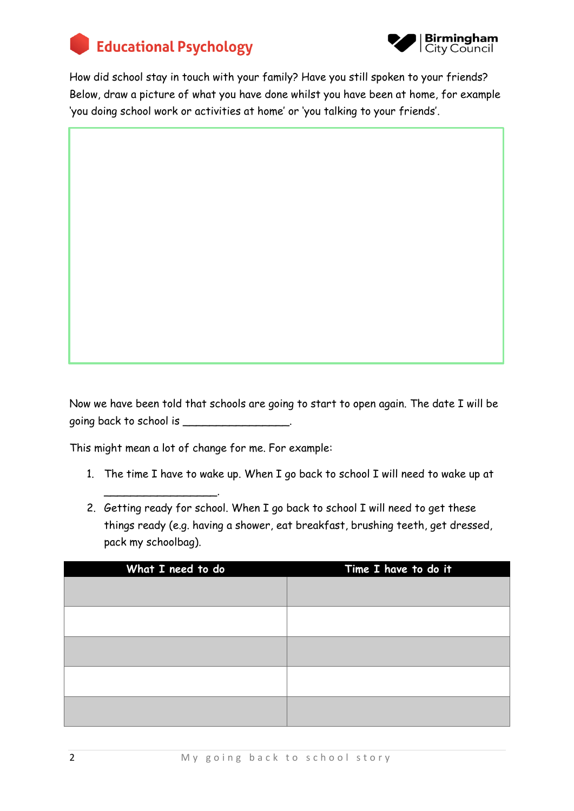



How did school stay in touch with your family? Have you still spoken to your friends? Below, draw a picture of what you have done whilst you have been at home, for example 'you doing school work or activities at home' or 'you talking to your friends'.

Now we have been told that schools are going to start to open again. The date I will be going back to school is \_\_\_\_\_\_\_\_\_\_\_\_\_\_\_\_.

This might mean a lot of change for me. For example:

\_\_\_\_\_\_\_\_\_\_\_\_\_\_\_\_\_.

- 1. The time I have to wake up. When I go back to school I will need to wake up at
- 2. Getting ready for school. When I go back to school I will need to get these things ready (e.g. having a shower, eat breakfast, brushing teeth, get dressed, pack my schoolbag).

| What I need to do | Time I have to do it |
|-------------------|----------------------|
|                   |                      |
|                   |                      |
|                   |                      |
|                   |                      |
|                   |                      |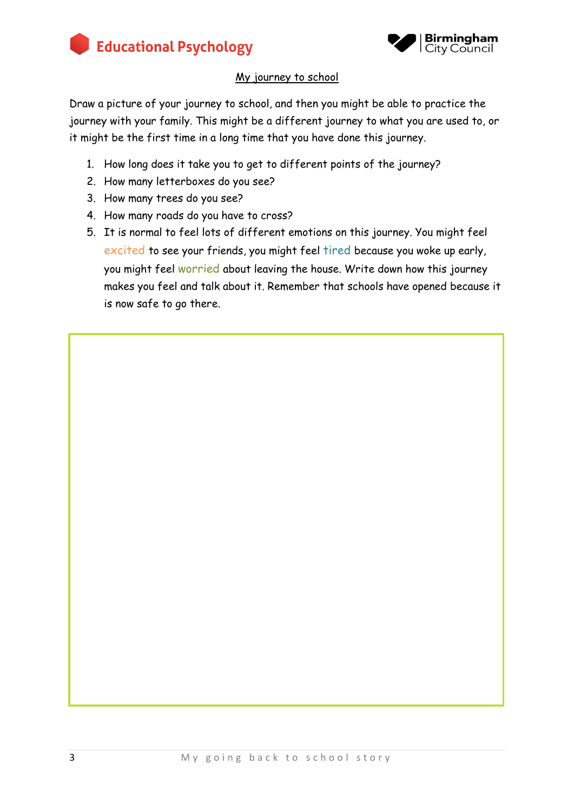



### My journey to school

Draw a picture of your journey to school, and then you might be able to practice the journey with your family. This might be a different journey to what you are used to, or it might be the first time in a long time that you have done this journey.

- 1. How long does it take you to get to different points of the journey?
- 2. How many letterboxes do you see?
- 3. How many trees do you see?
- 4. How many roads do you have to cross?
- 5. It is normal to feel lots of different emotions on this journey. You might feel excited to see your friends, you might feel tired because you woke up early, you might feel worried about leaving the house. Write down how this journey makes you feel and talk about it. Remember that schools have opened because it is now safe to go there.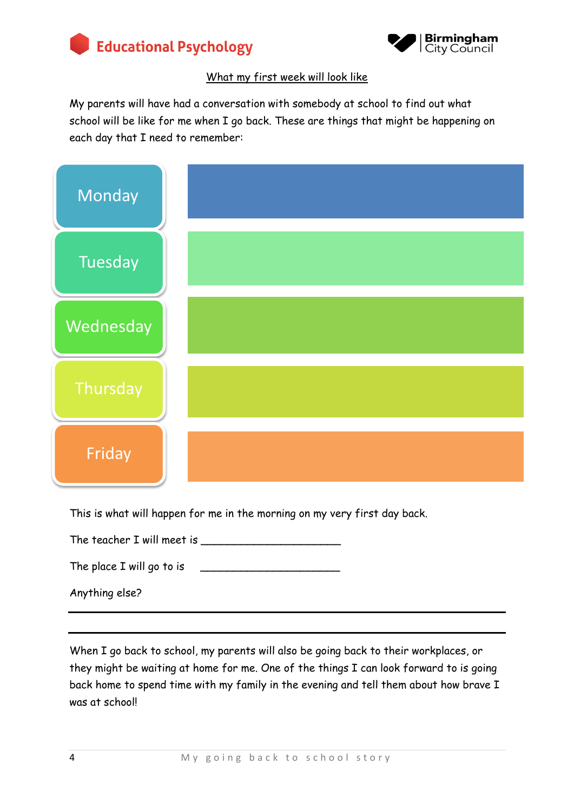



#### What my first week will look like

My parents will have had a conversation with somebody at school to find out what school will be like for me when I go back. These are things that might be happening on each day that I need to remember:

| Monday    |  |
|-----------|--|
| Tuesday   |  |
| Wednesday |  |
| Thursday  |  |
| Friday    |  |

This is what will happen for me in the morning on my very first day back.

The teacher I will meet is \_\_\_\_\_\_\_\_\_\_\_\_\_\_\_\_\_\_\_\_\_

The place I will go to is

Anything else?

When I go back to school, my parents will also be going back to their workplaces, or they might be waiting at home for me. One of the things I can look forward to is going back home to spend time with my family in the evening and tell them about how brave I was at school!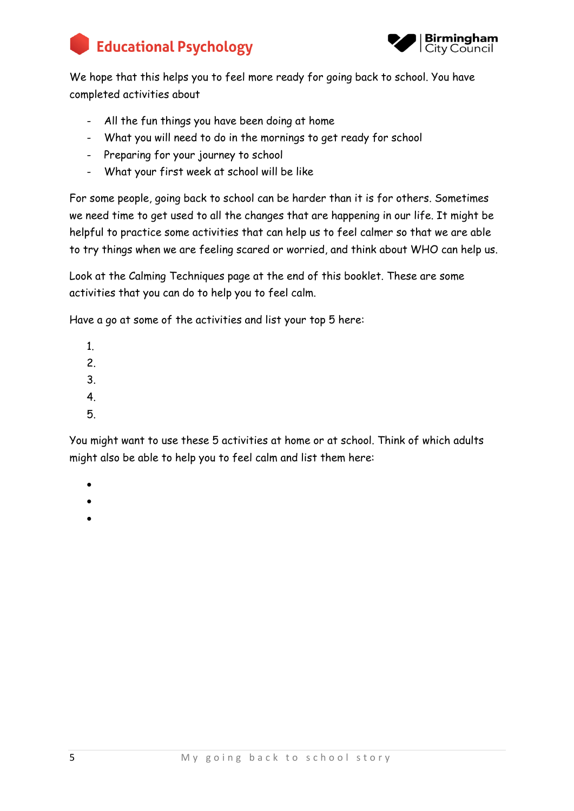



We hope that this helps you to feel more ready for going back to school. You have completed activities about

- All the fun things you have been doing at home
- What you will need to do in the mornings to get ready for school
- Preparing for your journey to school
- What your first week at school will be like

For some people, going back to school can be harder than it is for others. Sometimes we need time to get used to all the changes that are happening in our life. It might be helpful to practice some activities that can help us to feel calmer so that we are able to try things when we are feeling scared or worried, and think about WHO can help us.

Look at the Calming Techniques page at the end of this booklet. These are some activities that you can do to help you to feel calm.

Have a go at some of the activities and list your top 5 here:

1. 2. 3. 4. 5.

You might want to use these 5 activities at home or at school. Think of which adults might also be able to help you to feel calm and list them here:

- $\bullet$
- $\bullet$
- $\bullet$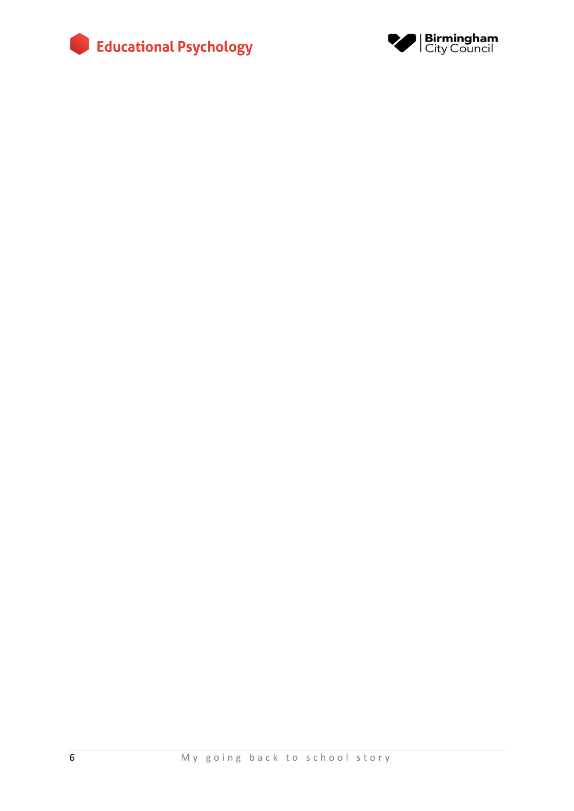

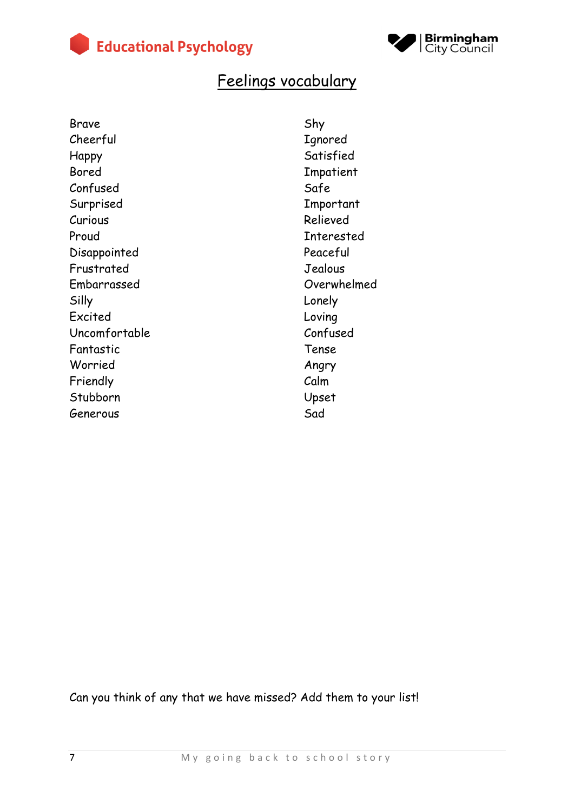



# Feelings vocabulary

Brave Cheerful Happy Bored Confused Surprised Curious Proud Disappointed Frustrated Embarrassed Silly Excited Uncomfortable Fantastic Worried Friendly **Stubborn** Generous

Shy Ignored Satisfied Impatient Safe Important Relieved Interested Peaceful Jealous Overwhelmed Lonely Loving Confused Tense Angry Calm Upset Sad

Can you think of any that we have missed? Add them to your list!